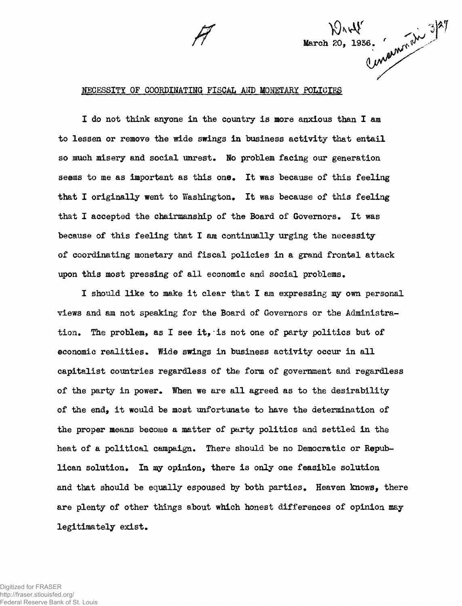

March 20, 1936. (unom 1) 3/27

**I do not think anyone in the country is more anxious than I am to lessen or remove the wide swings in business activity that entail so much misery and social unrest. No problem facing our generation seems to me as important as this one. It was because of this feeling that I originally went to Washington. It was because of this feeling that I accepted the chairmanship of the Board of Governors. It was** because of this feeling that I am continually urging the necessity **of coordinating monetary and fiscal policies in a grand frontal attack upon this most pressing of all economic and social problems.**

**I should like to make it clear that I am expressing my own personal views and am not speaking for the Board of Governors or the Administration. The problem, as I see it,•is not one of party politics but of economic realities. Wide swings in business activity occur in all capitalist countries regardless of the form of government and regardless of the party in power. When we are all agreed as to the desirability of the end, it would be most unfortunate to have the determination of the proper means become a matter of party politics and settled in the heat of a political campaign. There should be no Democratic or Republican solution. In my opinion, there is only one feasible solution and that should be equally espoused by both parties. Heaven knows, there are plenty of other things about which honest differences of opinion may legitimately exist.**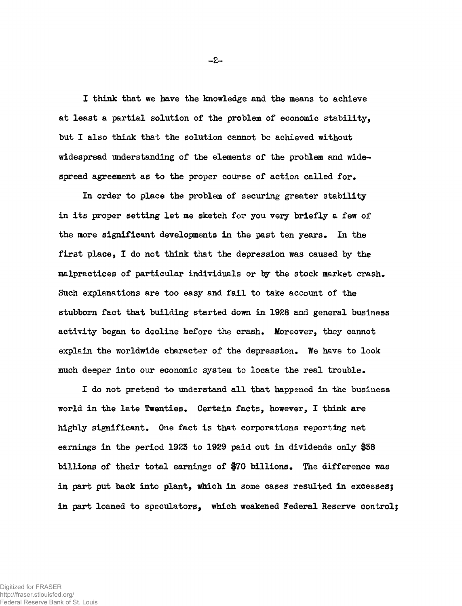**I think that we have the knowledge and the means to achieve at least a partial solution of the problem of economic stability, but I also think that the solution cannot be achieved without widespread understanding of the elements of the problem and widespread agreement as to the proper course of action called for.**

**In order to place the problem of securing greater stability in its proper setting let me sketch for you very briefly a few of the more significant developments in the past ten years. In the first place, I do not think that the depression was caused by the malpractices of particular individuals or by the stock market crash. Such explanations are too easy and fail to take account of the stubborn fact that building started down in 1928 and general business activity began to decline before the crash. Moreover, they cannot explain the worldwide character of the depression. We have to look much deeper into our economic system to locate the real trouble.**

**I do not pretend to understand all that happened in the business world in the late Twenties. Certain facts, however, I think are highly significant. One fact is that corporations reporting net earnings in the period 1923 to 1929 paid out in dividends only #38 billions of their total earnings of \$70 billions. The difference was in part put back into plant, which in some cases resulted in excesses; in part loaned to speculators, which weakened Federal Reserve control**

 $-2-$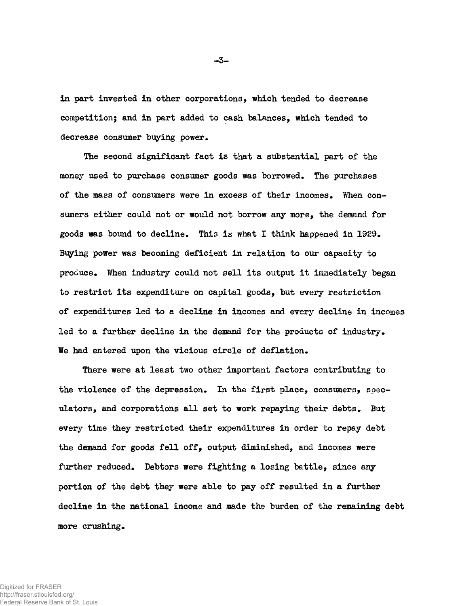**in part invested in other corporations, which tended to decrease competition; and in part added to cash balances, which tended to decrease consumer buying power.**

**The second significant fact is that a substantial part of the money used to purchase consumer goods was borrowed. The purchases of the mass of consumers were in excess of their incomes. When consumers either could not or would not borrow any more, the demand for goods was bound to decline. This is what I think happened in 1929.** Buying power was becoming deficient in relation to our capacity to **produce. When industry could not sell its output it immediately began to restrict its expenditure on capital goods, but every restriction of expenditures led to a decline in incomes and every decline in incomes led to a further decline in the demand for the products of industry. We had entered upon the vicious circle of deflation.**

**There were at least two other important factors contributing to the violence of the depression. In the first place, consumers, speculators, and corporations all set to work repaying their debts. But every time they restricted their expenditures in order to repay debt the demand for goods fell off, output diminished, and incomes were further reduced. Debtors were fighting a losing battle, since any portion of the debt they were able to pay off resulted in a further decline in the national income and made the burden of the remaining debt more crushing.**

 $-3-$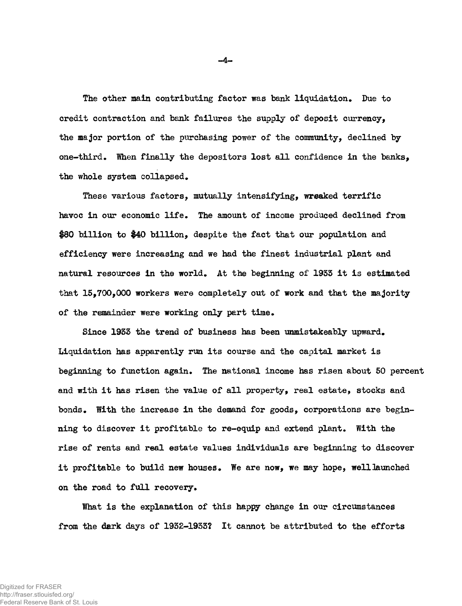**The other main contributing factor was bank liquidation. Due to credit contraction and bank failures the supply of deposit currency, the major portion of the purchasing power of the community, declined by one-third. When finally the depositors lost all confidence in the banks, the whole system collapsed.**

**These various factors, mutually intensifying, wreaked terrific havoc in our economic life. The amount of income produced declined from \$80 billion to #40 billion, despite the fact that our population and efficiency were increasing and we had the finest industrial plant and natural resources in the world. At the beginning of 1935 it is estimated that 15,700,000 workers were completely out of work and that the majority of the remainder were working only part time.**

**Since 1933 the trend of business has been unmistakeably upward. Liquidation has apparently run its course and the capital market is beginning to function again. The national income has risen about 50 percent and with it has risen the value of all property, real estate, stocks and bonds. With the increase in the demand for goods, corporations are beginning to discover it profitable to re-equip and extend plant. With the rise of rents and real estate values individuals are beginning to discover it profitable to build new houses. We are now, we may hope, well launched on the road to full recovery.**

**What is the explanation of this happy change in our circumstances from the dark days of 1932-1933? It cannot be attributed to the efforts**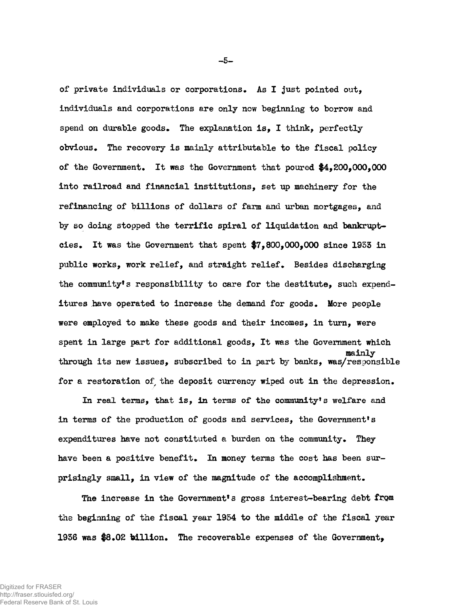**of private individuals or corporations. As I just pointed out, individuals and corporations are only now beginning to borrow and spend on durable goods. The explanation is, I think, perfectly obvious. The recovery is mainly attributable to the fiscal policy of the Government. It was the Government that poured \$4,200,000,000 into railroad and financial institutions, set up machinery for the refinancing of billions of dollars of farm and urban mortgages, and by so doing stopped the terrific spiral of liquidation and bankruptcies. It was the Government that spent \$7,800,000,000 since 1953 in public works, work relief, and straight relief. Besides discharging** the community's responsibility to care for the destitute, such expend**itures have operated to increase the demand for goods. More people were employed to make these goods and their incomes, in turn, were spent in large part for additional goods, It was the Government which mainly through its new issues, subscribed to in part by banks, was/responsible for a restoration of the deposit currency wiped out in the depression.**

**In real terms, that is, in terms of the community's welfare and in terms of the production of goods and services, the Government's expenditures have not constituted a burden on the community. They have been a positive benefit. In money terms the cost has been surprisingly small, in view of the magnitude of the accomplishment.**

**The increase in the Government\*s gross interest-bearing debt from the beginning of the fiscal year 1954 to the middle of the fiscal year 1936 was \$8.02 billion. The recoverable expenses of the Government,**

**-5 -**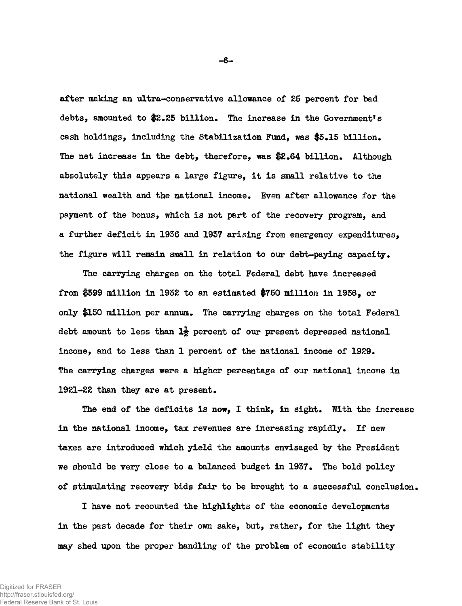**after making an ultra-conservative allowance of 25 percent for bad debts, amounted to \$2.25 billion. The increase in the Government's cash holdings, including the Stabilization Fund, was \$5.15 billion.** The net increase in the debt, therefore, was \$2.64 billion. Although **absolutely this appears a large figure, it is small relative to the national wealth and the national income. Even after allowance for the payment of the bonus, which is not part of the recovery program, and a further deficit in 1936 and 1937 arising from emergency expenditures, the figure will remain small in relation to our debt-paying capacity.**

**The carrying charges on the total Federal debt have increased from \$599 million in 1932 to an estimated \$750 million in 1936, or only \$150 million per annum. The carrying charges on the total Federal debt amount to less than lj percent of our present depressed national income, and to less than 1 percent of the national income of 1929. The carrying charges were a higher percentage of our national income in 1921-22 than they are at present.**

**The end of the deficits is now, I think, in sight. With the increase in the national income, tax revenues are increasing rapidly. If new taxes are introduced which yield the amounts envisaged by the President we should be very close to a balanced budget in 1937. The bold policy of stimulating recovery bids fair to be brought to a successful conclusion.**

**I have not recounted the highlights of the economic developments in the past decade for their own sake, but, rather, for the light they may shed upon the proper handling of the problem of economic stability**

**- 6 -**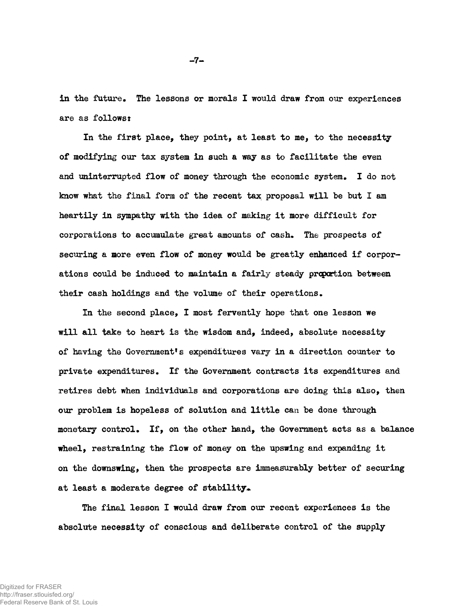**in the future. The lessons or morals I would draw from our experiences are as followsî**

**In the first place, they point, at least to me, to the necessity of modifying our tax system in such a way as to facilitate the even and uninterrupted flow of money through the economic system. I do not know what the final form of the recent tax proposal will be but I am heartily in sympathy with the idea of making it more difficult for corporations to accumulate great amounts of cash. The prospects of securing a more even flow of money would be greatly enhanced if corporations could be induced to maintain a fairly steady proportion between their cash holdings and the volume of their operations.**

**In the second place, I most fervently hope that one lesson we will all take to heart is the wisdom and, indeed, absolute necessity of having the Government's expenditures vary in a direction counter to private expenditures. If the Government contracts its expenditures and retires debt when individuals and corporations are doing this also, then our problem is hopeless of solution and little can be done through monetary control. If, on the other hand, the Government acts as a balance wheel, restraining the flow of money on the upswing and expanding it on the downswing, then the prospects are immeasurably better of securing** at least a moderate degree of stability.

**The final lesson I would draw from our recent experiences is the absolute necessity of conscious and deliberate control of the supply**